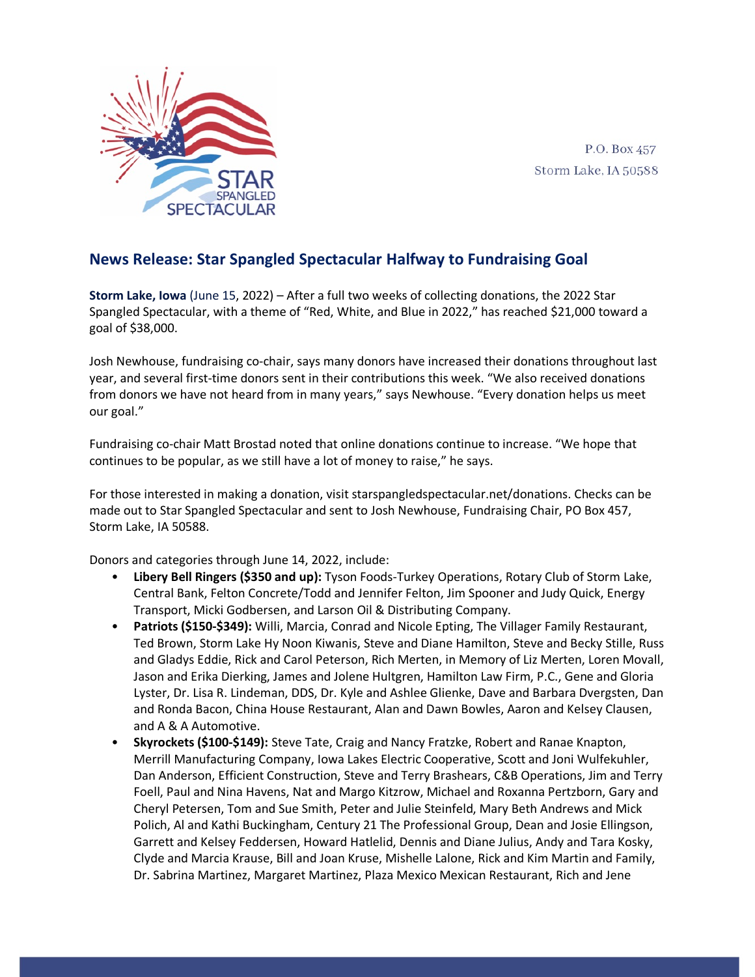

P.O. Box 457 Storm Lake, IA 50588

## **News Release: Star Spangled Spectacular Halfway to Fundraising Goal**

**Storm Lake, Iowa** (June 15, 2022) – After a full two weeks of collecting donations, the 2022 Star Spangled Spectacular, with a theme of "Red, White, and Blue in 2022," has reached \$21,000 toward a goal of \$38,000.

Josh Newhouse, fundraising co-chair, says many donors have increased their donations throughout last year, and several first-time donors sent in their contributions this week. "We also received donations from donors we have not heard from in many years," says Newhouse. "Every donation helps us meet our goal."

Fundraising co-chair Matt Brostad noted that online donations continue to increase. "We hope that continues to be popular, as we still have a lot of money to raise," he says.

For those interested in making a donation, visit starspangledspectacular.net/donations. Checks can be made out to Star Spangled Spectacular and sent to Josh Newhouse, Fundraising Chair, PO Box 457, Storm Lake, IA 50588.

Donors and categories through June 14, 2022, include:

- **Libery Bell Ringers (\$350 and up):** Tyson Foods-Turkey Operations, Rotary Club of Storm Lake, Central Bank, Felton Concrete/Todd and Jennifer Felton, Jim Spooner and Judy Quick, Energy Transport, Micki Godbersen, and Larson Oil & Distributing Company.
- **Patriots (\$150-\$349):** Willi, Marcia, Conrad and Nicole Epting, The Villager Family Restaurant, Ted Brown, Storm Lake Hy Noon Kiwanis, Steve and Diane Hamilton, Steve and Becky Stille, Russ and Gladys Eddie, Rick and Carol Peterson, Rich Merten, in Memory of Liz Merten, Loren Movall, Jason and Erika Dierking, James and Jolene Hultgren, Hamilton Law Firm, P.C., Gene and Gloria Lyster, Dr. Lisa R. Lindeman, DDS, Dr. Kyle and Ashlee Glienke, Dave and Barbara Dvergsten, Dan and Ronda Bacon, China House Restaurant, Alan and Dawn Bowles, Aaron and Kelsey Clausen, and A & A Automotive.
- **Skyrockets (\$100-\$149):** Steve Tate, Craig and Nancy Fratzke, Robert and Ranae Knapton, Merrill Manufacturing Company, Iowa Lakes Electric Cooperative, Scott and Joni Wulfekuhler, Dan Anderson, Efficient Construction, Steve and Terry Brashears, C&B Operations, Jim and Terry Foell, Paul and Nina Havens, Nat and Margo Kitzrow, Michael and Roxanna Pertzborn, Gary and Cheryl Petersen, Tom and Sue Smith, Peter and Julie Steinfeld, Mary Beth Andrews and Mick Polich, Al and Kathi Buckingham, Century 21 The Professional Group, Dean and Josie Ellingson, Garrett and Kelsey Feddersen, Howard Hatlelid, Dennis and Diane Julius, Andy and Tara Kosky, Clyde and Marcia Krause, Bill and Joan Kruse, Mishelle Lalone, Rick and Kim Martin and Family, Dr. Sabrina Martinez, Margaret Martinez, Plaza Mexico Mexican Restaurant, Rich and Jene